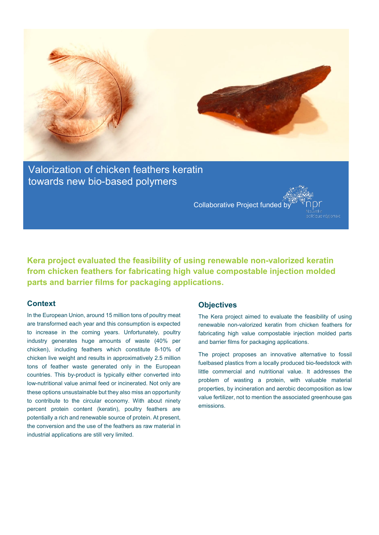

Valorization of chicken feathers keratin towards new bio-based polymers

Collaborative Project funded by

**Kera project evaluated the feasibility of using renewable non-valorized keratin from chicken feathers for fabricating high value compostable injection molded parts and barrier films for packaging applications.**

### **Context**

In the European Union, around 15 million tons of poultry meat are transformed each year and this consumption is expected to increase in the coming years. Unfortunately, poultry industry generates huge amounts of waste (40% per chicken), including feathers which constitute 8-10% of chicken live weight and results in approximatively 2.5 million tons of feather waste generated only in the European countries. This by-product is typically either converted into low-nutritional value animal feed or incinerated. Not only are these options unsustainable but they also miss an opportunity to contribute to the circular economy. With about ninety percent protein content (keratin), poultry feathers are potentially a rich and renewable source of protein. At present, the conversion and the use of the feathers as raw material in industrial applications are still very limited.

#### **Objectives**

The Kera project aimed to evaluate the feasibility of using renewable non-valorized keratin from chicken feathers for fabricating high value compostable injection molded parts and barrier films for packaging applications.

The project proposes an innovative alternative to fossil fuelbased plastics from a locally produced bio-feedstock with little commercial and nutritional value. It addresses the problem of wasting a protein, with valuable material properties, by incineration and aerobic decomposition as low value fertilizer, not to mention the associated greenhouse gas emissions.